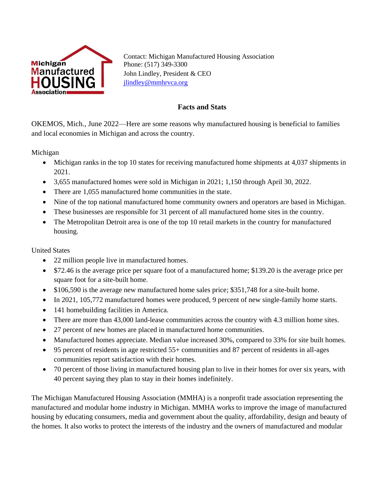

Contact: Michigan Manufactured Housing Association Phone: (517) 349-3300 John Lindley, President & CEO [jlindley@mmhrvca.org](mailto:jlindley@mmhrvca.org)

## **Facts and Stats**

OKEMOS, Mich., June 2022—Here are some reasons why manufactured housing is beneficial to families and local economies in Michigan and across the country.

Michigan

- Michigan ranks in the top 10 states for receiving manufactured home shipments at 4,037 shipments in 2021.
- 3,655 manufactured homes were sold in Michigan in 2021; 1,150 through April 30, 2022.
- There are 1,055 manufactured home communities in the state.
- Nine of the top national manufactured home community owners and operators are based in Michigan.
- These businesses are responsible for 31 percent of all manufactured home sites in the country.
- The Metropolitan Detroit area is one of the top 10 retail markets in the country for manufactured housing.

United States

- 22 million people live in manufactured homes.
- \$72.46 is the average price per square foot of a manufactured home; \$139.20 is the average price per square foot for a site-built home.
- \$106,590 is the average new manufactured home sales price; \$351,748 for a site-built home.
- In 2021, 105,772 manufactured homes were produced, 9 percent of new single-family home starts.
- 141 homebuilding facilities in America.
- There are more than 43,000 land-lease communities across the country with 4.3 million home sites.
- 27 percent of new homes are placed in manufactured home communities.
- Manufactured homes appreciate. Median value increased 30%, compared to 33% for site built homes.
- 95 percent of residents in age restricted 55+ communities and 87 percent of residents in all-ages communities report satisfaction with their homes.
- 70 percent of those living in manufactured housing plan to live in their homes for over six years, with 40 percent saying they plan to stay in their homes indefinitely.

The Michigan Manufactured Housing Association (MMHA) is a nonprofit trade association representing the manufactured and modular home industry in Michigan. MMHA works to improve the image of manufactured housing by educating consumers, media and government about the quality, affordability, design and beauty of the homes. It also works to protect the interests of the industry and the owners of manufactured and modular